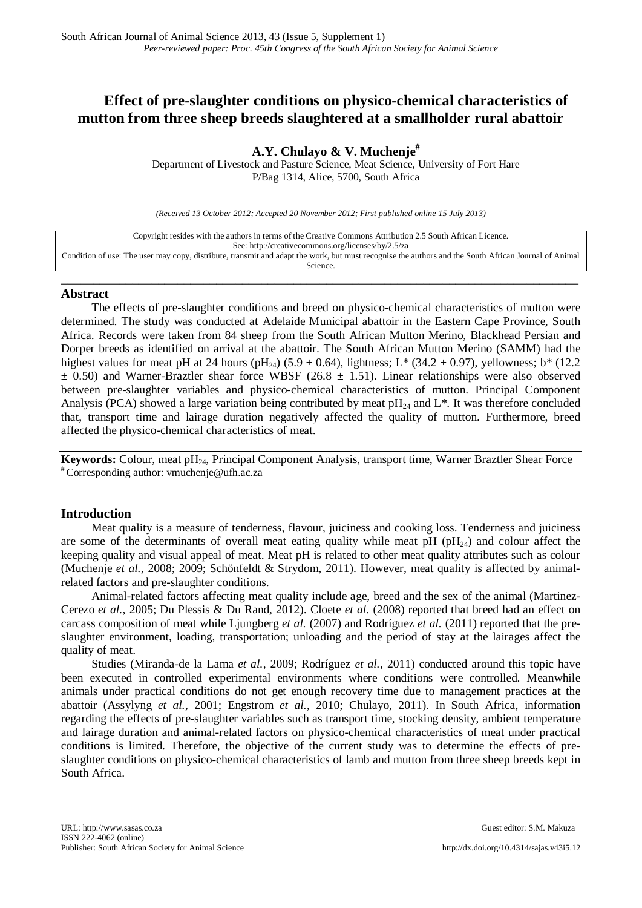# **Effect of pre-slaughter conditions on physico-chemical characteristics of mutton from three sheep breeds slaughtered at a smallholder rural abattoir**

# **A.Y. Chulayo & V. Muchenje#**

Department of Livestock and Pasture Science, Meat Science, University of Fort Hare P/Bag 1314, Alice, 5700, South Africa

*(Received 13 October 2012; Accepted 20 November 2012; First published online 15 July 2013)*

| Copyright resides with the authors in terms of the Creative Commons Attribution 2.5 South African Licence.                                           |
|------------------------------------------------------------------------------------------------------------------------------------------------------|
| See: http://creativecommons.org/licenses/by/2.5/za                                                                                                   |
| Condition of use: The user may copy, distribute, transmit and adapt the work, but must recognise the authors and the South African Journal of Animal |
| Science.                                                                                                                                             |
|                                                                                                                                                      |

\_\_\_\_\_\_\_\_\_\_\_\_\_\_\_\_\_\_\_\_\_\_\_\_\_\_\_\_\_\_\_\_\_\_\_\_\_\_\_\_\_\_\_\_\_\_\_\_\_\_\_\_\_\_\_\_\_\_\_\_\_\_\_\_\_\_\_\_\_\_\_\_\_\_\_\_\_\_\_\_

# **Abstract**

The effects of pre-slaughter conditions and breed on physico-chemical characteristics of mutton were determined. The study was conducted at Adelaide Municipal abattoir in the Eastern Cape Province, South Africa. Records were taken from 84 sheep from the South African Mutton Merino, Blackhead Persian and Dorper breeds as identified on arrival at the abattoir. The South African Mutton Merino (SAMM) had the highest values for meat pH at 24 hours (pH<sub>24</sub>) (5.9  $\pm$  0.64), lightness; L\* (34.2  $\pm$  0.97), yellowness; b\* (12.2  $\pm$  0.50) and Warner-Braztler shear force WBSF (26.8  $\pm$  1.51). Linear relationships were also observed between pre-slaughter variables and physico-chemical characteristics of mutton. Principal Component Analysis (PCA) showed a large variation being contributed by meat  $pH_{24}$  and L<sup>\*</sup>. It was therefore concluded that, transport time and lairage duration negatively affected the quality of mutton. Furthermore, breed affected the physico-chemical characteristics of meat.

**Keywords:** Colour, meat pH<sub>24</sub>, Principal Component Analysis, transport time, Warner Braztler Shear Force # Corresponding author: [vmuchenje@ufh.ac.za](mailto:vmuchenje@ufh.ac.za)

# **Introduction**

Meat quality is a measure of tenderness, flavour, juiciness and cooking loss. Tenderness and juiciness are some of the determinants of overall meat eating quality while meat pH ( $pH_{24}$ ) and colour affect the keeping quality and visual appeal of meat. Meat pH is related to other meat quality attributes such as colour (Muchenje *et al.*, 2008; 2009; Schönfeldt & Strydom, 2011). However, meat quality is affected by animalrelated factors and pre-slaughter conditions.

Animal-related factors affecting meat quality include age, breed and the sex of the animal (Martinez-Cerezo *et al.*, 2005; Du Plessis & Du Rand, 2012). Cloete *et al.* (2008) reported that breed had an effect on carcass composition of meat while Ljungberg *et al.* (2007) and Rodríguez *et al.* (2011) reported that the preslaughter environment, loading, transportation; unloading and the period of stay at the lairages affect the quality of meat.

Studies (Miranda-de la Lama *et al.*, 2009; Rodríguez *et al.*, 2011) conducted around this topic have been executed in controlled experimental environments where conditions were controlled. Meanwhile animals under practical conditions do not get enough recovery time due to management practices at the abattoir (Assylyng *et al.*, 2001; Engstrom *et al.*, 2010; Chulayo, 2011). In South Africa, information regarding the effects of pre-slaughter variables such as transport time, stocking density, ambient temperature and lairage duration and animal-related factors on physico-chemical characteristics of meat under practical conditions is limited. Therefore, the objective of the current study was to determine the effects of preslaughter conditions on physico-chemical characteristics of lamb and mutton from three sheep breeds kept in South Africa.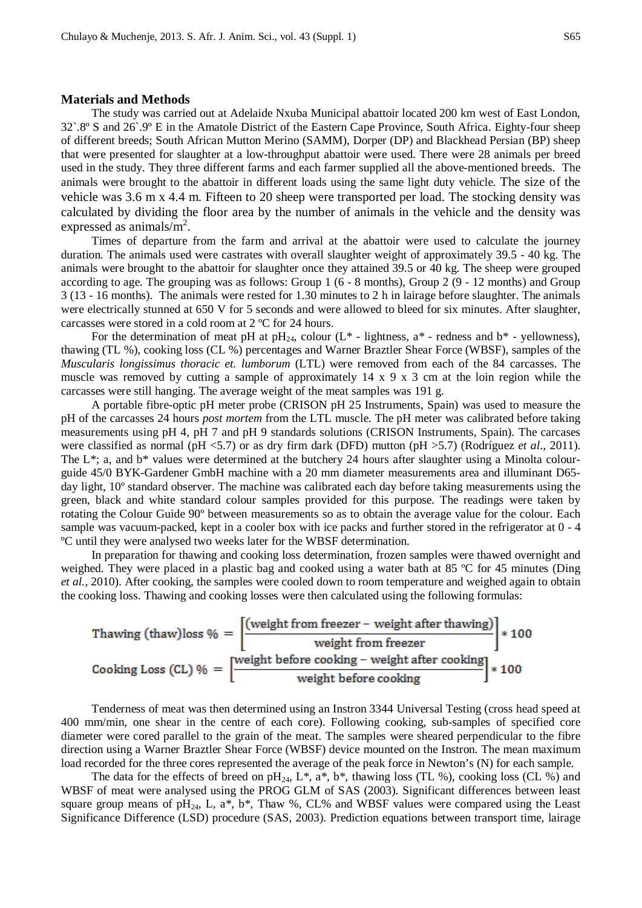## **Materials and Methods**

The study was carried out at Adelaide Nxuba Municipal abattoir located 200 km west of East London, 32`.8º S and 26`.9º E in the Amatole District of the Eastern Cape Province, South Africa. Eighty-four sheep of different breeds; South African Mutton Merino (SAMM), Dorper (DP) and Blackhead Persian (BP) sheep that were presented for slaughter at a low-throughput abattoir were used. There were 28 animals per breed used in the study. They three different farms and each farmer supplied all the above-mentioned breeds. The animals were brought to the abattoir in different loads using the same light duty vehicle. The size of the vehicle was 3.6 m x 4.4 m. Fifteen to 20 sheep were transported per load. The stocking density was calculated by dividing the floor area by the number of animals in the vehicle and the density was expressed as animals/ $m^2$ .

Times of departure from the farm and arrival at the abattoir were used to calculate the journey duration. The animals used were castrates with overall slaughter weight of approximately 39.5 - 40 kg. The animals were brought to the abattoir for slaughter once they attained 39.5 or 40 kg. The sheep were grouped according to age. The grouping was as follows: Group 1 (6 - 8 months), Group 2 (9 - 12 months) and Group 3 (13 - 16 months). The animals were rested for 1.30 minutes to 2 h in lairage before slaughter. The animals were electrically stunned at 650 V for 5 seconds and were allowed to bleed for six minutes. After slaughter, carcasses were stored in a cold room at 2 ºC for 24 hours.

For the determination of meat pH at pH<sub>24</sub>, colour ( $L^*$  - lightness,  $a^*$  - redness and  $b^*$  - yellowness), thawing (TL %), cooking loss (CL %) percentages and Warner Braztler Shear Force (WBSF), samples of the *Muscularis longissimus thoracic et. lumborum* (LTL) were removed from each of the 84 carcasses. The muscle was removed by cutting a sample of approximately  $14 \times 9 \times 3$  cm at the loin region while the carcasses were still hanging. The average weight of the meat samples was 191 g.

A portable fibre-optic pH meter probe (CRISON pH 25 Instruments, Spain) was used to measure the pH of the carcasses 24 hours *post mortem* from the LTL muscle. The pH meter was calibrated before taking measurements using pH 4, pH 7 and pH 9 standards solutions (CRISON Instruments, Spain). The carcases were classified as normal (pH <5.7) or as dry firm dark (DFD) mutton (pH >5.7) (Rodríguez *et al*., 2011). The  $L^*$ ; a, and  $b^*$  values were determined at the butchery 24 hours after slaughter using a Minolta colourguide 45/0 BYK-Gardener GmbH machine with a 20 mm diameter measurements area and illuminant D65 day light, 10º standard observer. The machine was calibrated each day before taking measurements using the green, black and white standard colour samples provided for this purpose. The readings were taken by rotating the Colour Guide 90º between measurements so as to obtain the average value for the colour. Each sample was vacuum-packed, kept in a cooler box with ice packs and further stored in the refrigerator at 0 - 4 ºC until they were analysed two weeks later for the WBSF determination.

In preparation for thawing and cooking loss determination, frozen samples were thawed overnight and weighed. They were placed in a plastic bag and cooked using a water bath at 85 ºC for 45 minutes (Ding *et al.*, 2010). After cooking, the samples were cooled down to room temperature and weighed again to obtain the cooking loss. Thawing and cooking losses were then calculated using the following formulas:

Thawing (thaw)loss 
$$
\% = \left[\frac{\text{(weight from freeze - weight after drawing)}}{\text{weight from freeze}}\right] * 100
$$

\nCooking Loss (CL)  $\% = \left[\frac{\text{weight before cooking - weight after cooking}}{\text{weight before cooking}}\right] * 100$ 

Tenderness of meat was then determined using an Instron 3344 Universal Testing (cross head speed at 400 mm/min, one shear in the centre of each core). Following cooking, sub-samples of specified core diameter were cored parallel to the grain of the meat. The samples were sheared perpendicular to the fibre direction using a Warner Braztler Shear Force (WBSF) device mounted on the Instron. The mean maximum load recorded for the three cores represented the average of the peak force in Newton's (N) for each sample.

The data for the effects of breed on pH<sub>24</sub>, L<sup>\*</sup>, a<sup>\*</sup>, b<sup>\*</sup>, thawing loss (TL %), cooking loss (CL %) and WBSF of meat were analysed using the PROG GLM of SAS (2003). Significant differences between least square group means of  $pH_{24}$ , L, a\*, b\*, Thaw %, CL% and WBSF values were compared using the Least Significance Difference (LSD) procedure (SAS, 2003). Prediction equations between transport time, lairage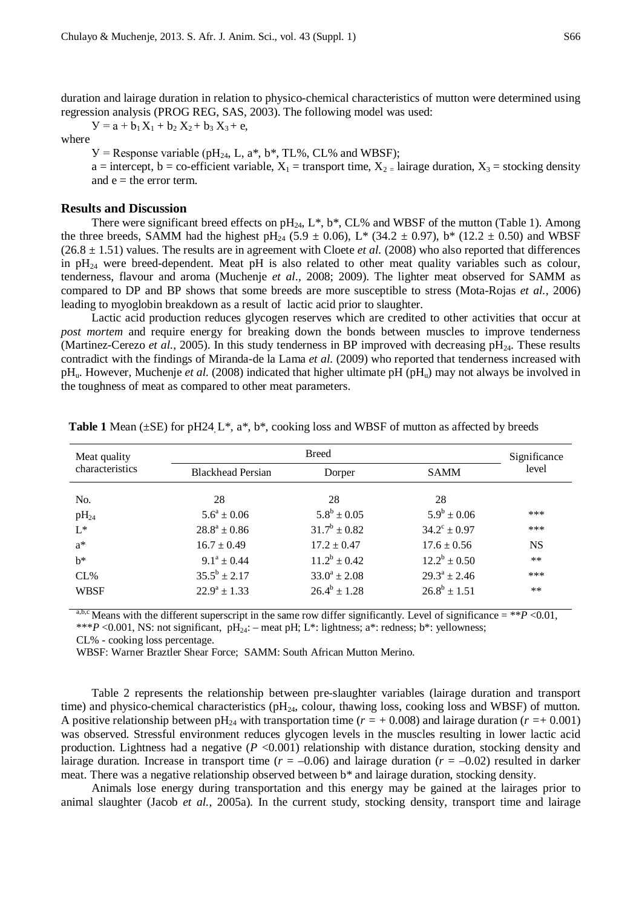duration and lairage duration in relation to physico-chemical characteristics of mutton were determined using regression analysis (PROG REG, SAS, 2003). The following model was used:

 $Y = a + b_1 X_1 + b_2 X_2 + b_3 X_3 + e$ 

#### where

 $V =$  Response variable (pH<sub>24</sub>, L, a<sup>\*</sup>, b<sup>\*</sup>, TL%, CL% and WBSF);

a = intercept, b = co-efficient variable,  $X_1$  = transport time,  $X_2$  = lairage duration,  $X_3$  = stocking density and  $e =$  the error term.

# **Results and Discussion**

There were significant breed effects on  $pH_{24}$ ,  $L^*$ ,  $b^*$ , CL% and WBSF of the mutton (Table 1). Among the three breeds, SAMM had the highest pH<sub>24</sub> (5.9  $\pm$  0.06), L<sup>\*</sup> (34.2  $\pm$  0.97), b<sup>\*</sup> (12.2  $\pm$  0.50) and WBSF  $(26.8 \pm 1.51)$  values. The results are in agreement with Cloete *et al.* (2008) who also reported that differences in  $pH_{24}$  were breed-dependent. Meat  $pH$  is also related to other meat quality variables such as colour, tenderness, flavour and aroma (Muchenje *et al*., 2008; 2009). The lighter meat observed for SAMM as compared to DP and BP shows that some breeds are more susceptible to stress (Mota-Rojas *et al.*, 2006) leading to myoglobin breakdown as a result of lactic acid prior to slaughter.

Lactic acid production reduces glycogen reserves which are credited to other activities that occur at *post mortem* and require energy for breaking down the bonds between muscles to improve tenderness (Martinez-Cerezo *et al.*, 2005). In this study tenderness in BP improved with decreasing  $pH_{24}$ . These results contradict with the findings of Miranda-de la Lama *et al.* (2009) who reported that tenderness increased with pH<sub>u</sub>. However, Muchenje *et al.* (2008) indicated that higher ultimate pH (pH<sub>u</sub>) may not always be involved in the toughness of meat as compared to other meat parameters.

| Meat quality    | <b>Breed</b>             |                   |                         | Significance |
|-----------------|--------------------------|-------------------|-------------------------|--------------|
| characteristics | <b>Blackhead Persian</b> | Dorper            | <b>SAMM</b>             | level        |
| No.             | 28                       | 28                | 28                      |              |
| $pH_{24}$       | $5.6^a \pm 0.06$         | $5.8^b \pm 0.05$  | $5.9^b \pm 0.06$        | ***          |
| $L^*$           | $28.8^a \pm 0.86$        | $31.7^b \pm 0.82$ | $34.2^{\circ} \pm 0.97$ | ***          |
| $a^*$           | $16.7 \pm 0.49$          | $17.2 \pm 0.47$   | $17.6 \pm 0.56$         | <b>NS</b>    |
| $h^*$           | $9.1^a \pm 0.44$         | $11.2^b \pm 0.42$ | $12.2^b \pm 0.50$       | $**$         |
| CL%             | $35.5^b \pm 2.17$        | $33.0^a \pm 2.08$ | $29.3^a \pm 2.46$       | ***          |
| <b>WBSF</b>     | $22.9^a \pm 1.33$        | $26.4^b \pm 1.28$ | $26.8^b \pm 1.51$       | $***$        |

**Table 1** Mean ( $\pm$ SE) for pH24 L<sup>\*</sup>, a<sup>\*</sup>, b<sup>\*</sup>, cooking loss and WBSF of mutton as affected by breeds

<sup>a,b,c</sup> Means with the different superscript in the same row differ significantly. Level of significance = \*\**P* <0.01, \*\*\**P* <0.001, NS: not significant, pH<sub>24</sub>: – meat pH; L\*: lightness; a\*: redness; b\*: yellowness;

CL% - cooking loss percentage.

WBSF: Warner Braztler Shear Force; SAMM: South African Mutton Merino.

Table 2 represents the relationship between pre-slaughter variables (lairage duration and transport time) and physico-chemical characteristics ( $pH_{24}$ , colour, thawing loss, cooking loss and WBSF) of mutton. A positive relationship between pH<sub>24</sub> with transportation time ( $r = +0.008$ ) and lairage duration ( $r = +0.001$ ) was observed. Stressful environment reduces glycogen levels in the muscles resulting in lower lactic acid production. Lightness had a negative  $(P \le 0.001)$  relationship with distance duration, stocking density and lairage duration. Increase in transport time  $(r = -0.06)$  and lairage duration  $(r = -0.02)$  resulted in darker meat. There was a negative relationship observed between b\* and lairage duration, stocking density.

Animals lose energy during transportation and this energy may be gained at the lairages prior to animal slaughter (Jacob *et al.*, 2005a). In the current study, stocking density, transport time and lairage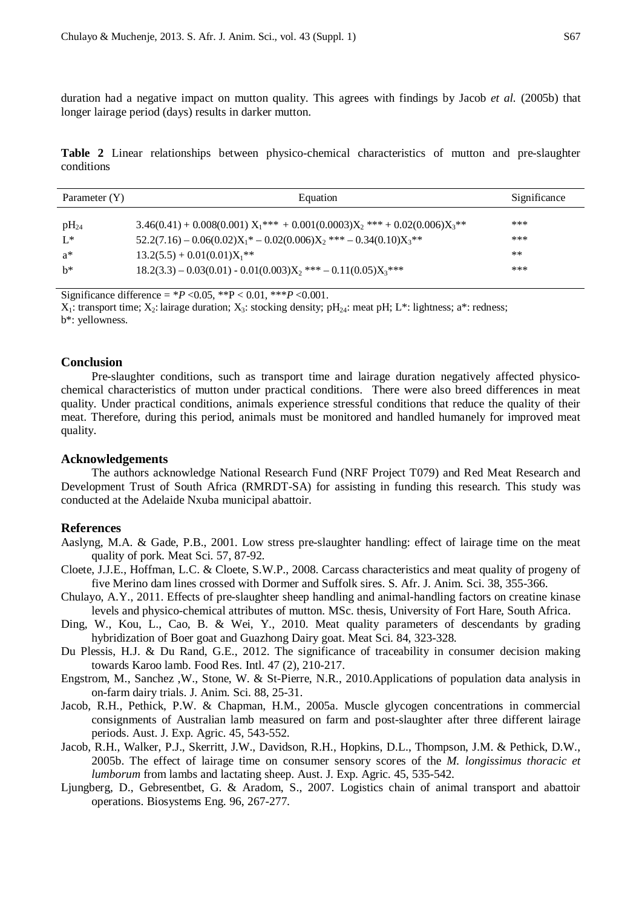duration had a negative impact on mutton quality. This agrees with findings by Jacob *et al.* (2005b) that longer lairage period (days) results in darker mutton.

**Table 2** Linear relationships between physico-chemical characteristics of mutton and pre-slaughter conditions

| Parameter (Y) | Equation                                                                                | Significance |
|---------------|-----------------------------------------------------------------------------------------|--------------|
| $\rm pH_{24}$ | $3.46(0.41) + 0.008(0.001) X_1^{***} + 0.001(0.0003) X_2^{***} + 0.02(0.006) X_3^{***}$ | ***          |
| $L^*$         | $52.2(7.16) - 0.06(0.02)X_1^* - 0.02(0.006)X_2^{**} - 0.34(0.10)X_3^{**}$               | ***          |
| a*            | $13.2(5.5) + 0.01(0.01)X_1$ **                                                          | $***$        |
| $h^*$         | $18.2(3.3) - 0.03(0.01) - 0.01(0.003)X_2$ *** $- 0.11(0.05)X_3$ ***                     | ***          |

Significance difference =  $*P < 0.05$ ,  $*P < 0.01$ ,  $**P < 0.001$ .

 $X_1$ : transport time;  $X_2$ : lairage duration;  $X_3$ : stocking density; pH<sub>24</sub>: meat pH; L<sup>\*</sup>: lightness; a<sup>\*</sup>: redness;

b\*: yellowness.

#### **Conclusion**

Pre-slaughter conditions, such as transport time and lairage duration negatively affected physicochemical characteristics of mutton under practical conditions. There were also breed differences in meat quality. Under practical conditions, animals experience stressful conditions that reduce the quality of their meat. Therefore, during this period, animals must be monitored and handled humanely for improved meat quality.

# **Acknowledgements**

The authors acknowledge National Research Fund (NRF Project T079) and Red Meat Research and Development Trust of South Africa (RMRDT-SA) for assisting in funding this research. This study was conducted at the Adelaide Nxuba municipal abattoir.

#### **References**

- Aaslyng, M.A. & Gade, P.B., 2001. Low stress pre-slaughter handling: effect of lairage time on the meat quality of pork. Meat Sci. 57, 87-92.
- Cloete, J.J.E., Hoffman, L.C. & Cloete, S.W.P., 2008. Carcass characteristics and meat quality of progeny of five Merino dam lines crossed with Dormer and Suffolk sires. S. Afr. J. Anim. Sci. 38, 355-366.
- Chulayo, A.Y., 2011. Effects of pre-slaughter sheep handling and animal-handling factors on creatine kinase levels and physico-chemical attributes of mutton. MSc. thesis, University of Fort Hare, South Africa.
- Ding, W., Kou, L., Cao, B. & Wei, Y., 2010. Meat quality parameters of descendants by grading hybridization of Boer goat and Guazhong Dairy goat. Meat Sci. 84, 323-328.
- Du Plessis, H.J. & Du Rand, G.E., 2012. The significance of traceability in consumer decision making towards Karoo lamb. Food Res. Intl. 47 (2), 210-217.
- Engstrom, M., Sanchez ,W., Stone, W. & St-Pierre, N.R., 2010.Applications of population data analysis in on-farm dairy trials. J. Anim. Sci. 88, 25-31.
- Jacob, R.H., Pethick, P.W. & Chapman, H.M., 2005a. Muscle glycogen concentrations in commercial consignments of Australian lamb measured on farm and post-slaughter after three different lairage periods. Aust. J. Exp. Agric. 45, 543-552.
- Jacob, R.H., Walker, P.J., Skerritt, J.W., Davidson, R.H., Hopkins, D.L., Thompson, J.M. & Pethick, D.W., 2005b. The effect of lairage time on consumer sensory scores of the *M. longissimus thoracic et lumborum* from lambs and lactating sheep. Aust. J. Exp. Agric. 45, 535-542.
- Ljungberg, D., Gebresentbet, G. & Aradom, S., 2007. Logistics chain of animal transport and abattoir operations. Biosystems Eng. 96, 267-277.